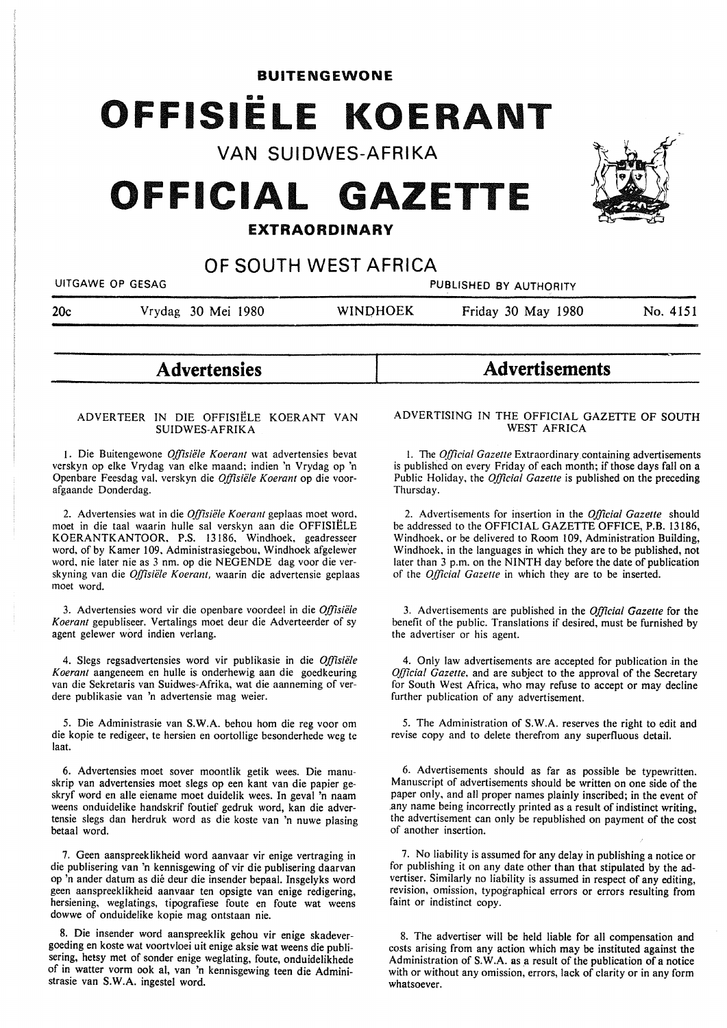**BUITENGEWONE** 

# •• **OFFISIELE KOERANT**

**VAN SUIDWES-AFRIKA** 

# **OFFICIAL GAZETTE**

# **EXTRAORDINARY**

# **OF SOUTH WEST AFRICA**

UITGAWE OP GESAG PUBLISHED BY AUTHORITY

20c Vrydag 30 Mei 1980 WINOHOEK Friday 30 May 1980 No. 4151

# **Advertensies**

### ADVERTEER IN DIE OFFISIELE KOERANT VAN **SUIDWES-AFRIKA**

1. Die Buitengewone *Offisiële Koerant* wat advertensies bevat verskyn op elke Vrydag van elke maand: indien 'n Vrydag op 'n Openbare Feesdag val, verskyn die *Offisiiile Koerant* op die voorafgaande Donderdag.

2. Advertensies wat in die *Offisiele Koerant* geplaas moet word, moet in die taal waarin hulle sal verskyn aan die OFFISIELE KOERANTKANTOOR, P.S. 13186, Windhoek, geadresseer word, of by Kamer 109, Administrasiegebou, Windhoek afgelewer word, nie later nie as 3 nm. op die NEGENDE dag voor die verskyning van die *Offisiele Koerant,* waarin die advertensie geplaas moet word.

3. Advertensies word vir die openbare voordeel in die *Offisiele Koerant* gepubliseer. Vertalings moet deur die Adverteerder of sy agent gelewer word indien verlang.

4. Slegs regsadvertensies word vir publikasie in die *Offisiele Koerant* aangeneem en hulle is onderhewig aan die goedkeuring van die Sekretaris van Suidwes-Afrika, wat die aanneming of verdere publikasie van 'n advertensie mag weier.

5. Die Administrasie van **S.W.A.** behou horn die reg voor om die kopie te redigeer, te hersien en oortollige besonderhede weg te laat.

6. Advertensies moet sover moontlik getik wees. Die manuskrip van advertensies moet slegs op een kant van die papier geskryf word en alle eiename moet duidelik wees. In geval 'n naam weens onduidelike handskrif foutief gedruk word, kan die advertensie slegs dan herdruk word as die koste van 'n nuwe plasing betaal word.

7. Geen aanspreeklikheid word aanvaar vir enige vertraging in die publisering van 'n kennisgewing of vir die publisering daarvan op 'n ander datum as die deur die insender bepaal. Insgelyks word geen aanspreeklikheid aanvaar ten opsigte van enige redigering, hersiening, weglatings, tipografiese foute en foute wat weens dowwe of onduidelike kopie mag ontstaan nie.

8. Die insender word aanspreeklik gehou vir enige skadevergoeding en koste wat voortvloei uit enige aksie wat weens die publisering, hetsy met of sonder enige weglating, foute, onduidelikhede of in watter vorm ook al, van 'n kennisgewing teen die Administrasie van **S.W.A.** ingestel word.

#### ADVERTISING IN THE OFFICIAL GAZETTE OF SOUTH WEST AFRICA

**Advertisements** 

I. The *Official Gazette* Extraordinary containing advertisements is published on every Friday of each month; if those days fall on a Public Holiday, the *Official Gazette* is published on the preceding Thursday.

2. Advertisements for insertion in the *Official Gazette* should be addressed to the OFFICIAL GAZETTE OFFICE, P.B. 13186, Windhoek, or be delivered to Room 109, Administration Building, Windhoek, in the languages in which they are to be published, not later than 3 p.m. on the NINTH day before the date of publication of the *Official Gazette* in which they are to be inserted.

3. Advertisements are published in the *Official Gazette* for the benefit of the public. Translations if desired, must be furnished by the advertiser or his agent.

4. Only law advertisements are accepted for publication in the *Official Gazette,* and are subject to the approval of the Secretary for South West Africa, who may refuse to accept or may decline further publication of any advertisement.

5. The Administration of S.W.A. reserves the right to edit and revise copy and to delete therefrom any superfluous detail.

6. Advertisements should as far as possible be typewritten. Manuscript of advertisements should be written on one side of the paper only, and all proper names plainly inscribed; in the event of .any name being incorrectly printed as a result of indistinct writing, the advertisement can only be republished on payment of the cost of another insertion.

7. No liability is assumed for any delay in publishing a notice or for publishing it on any date other than that stipulated by the advertiser. Similarly no liability is assumed in respect of any editing, revision, omission, typographical errors or errors resulting from faint or indistinct copy.

8. The advertiser will be held liable for all compensation and costs arising from any action which may be instituted against the Administration of S. W.A. as a result of the publication of a notice with or without any omission, errors, lack of clarity or in any form whatsoever.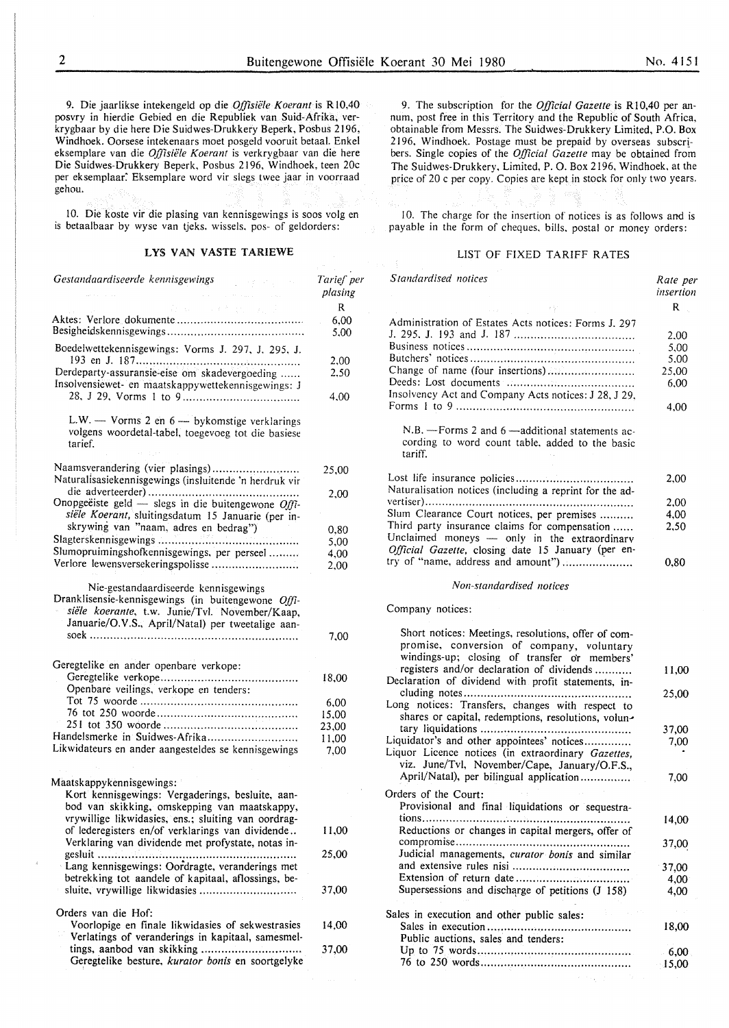9. Die jaarlikse intekengeld op die *Offisiele Koerant* is R 10.40 posvry in hierdie Gebied en die Republiek van Suid-Afrika, verkrygbaar by die here Die Suidwes-Drukkery Beperk, Posbus 2 I 96, Windhoek. Oorsese intekenaars moet posgeld vooruit betaal. Enke! eksemplare van die *Oj]7siele Koerant* is verkrygbaar van die here Die Suidwes-Drukkery Beperk, Posbus 2196, Windhoek, teen 20c per eksemplaar. Eksemplare word vir slegs twee jaar in voorraad gehou.

10. Die koste vir die plasing van kennisgewings is soos volg en is betaalbaar by wyse van tjeks. wissels. pos- of geldorders:

# LYS VAN VASTE TARIEWE

*Gestandaardiseerde kennisgewings*  Aktes: Verlore dokumente ..................................... . Besigheidskennisgewings ........................................ . Boedelwettekennisgewings: Vorms J. 297. J. 295. J. 193 en J. 187 ................................................ . Derdeparty-assuransie-eise om skadevergoeding ..... . insolvensiewet- en maatskappywettekennisgewings: J 28. J 29, Vorms I to 9 .................................. . L.W.  $-$  Vorms 2 en  $6 -$  bykomstige verklarings volgens woordetal-tabel, toegevoeg tot die basiesc tarief. Naamsverandering (vier plasings) ......................... . Naturalisasiekennisgewings (insluitende 'n herdruk vir die adverteerder) ............................................ . Onopgeëiste geld — slegs in die buitengewone Offi*siele Koerant,* sluitingsdatum 15 Januarie (per inskrywing van "naam, adres en bedrag") Slagterskennisgewings ......................................... . Slumopruimingshofkennisgewings. per perseel ........ . Verlore lewensversekeringspolisse .......................... Nie-gestandaardiseerde kennisgewings Dranklisensie-kennisgewings (in buitengewone *Offisie"/e koerante,* t.w. Junie/Tvl. November/Kaap, Januarie/O.V.S., April/Natal) per tweetalige aansoek ............................................................. . Geregtelike en ander openbare verkope: Geregtelike verkope ........................................ . Openbare veilings, verkope en tenders: Tot 75 woorde .............................................. . 76 tot 250 woorde ......................................... . 251 tot 350 woorde ....................................... . Handelsmerke in Suidwes-Afrika .......................... . Likwidateurs en ander aangesteldes se kennisgewings Maatskappykennisgewings: Kort kennisgewings: Vergaderings, besluite, aanbod van skikking, omskepping van maatskappy, vrywillige likwidasies, ens.; sluiting van oordragof lederegisters en/of verklarings van dividende .. Verklaring van dividende met profystate, notas ingesluit .......................................................... . Lang kennisgewings: Oordragte, veranderings met betrekking tot aandele of kapitaal, aflossings, besluite, vrywillige likwidasies ............................ . Orders van die Hof: Voorlopige en finale likwidasies of sekwestrasies Verlatings of veranderings in kapitaal, samesmeltings, aanbod van skikking ............................. . Geregtelike besture, *kurator bonis* en soortgelyke *Tarief per plasing*  R 6,00 5.00 2,00 2.50 4,00 25,00 2,00 0,80 5,00 4,00 2,00 7.00 18,00 6,00 15,00 23,00 11,00 7,00 11,00 25,00 37,00 14,00 37,00

9. The subscription for the *Official Gazette* is R 10,40 per annum, post free in this Territory and the Republic of South Africa, obtainable from Messrs. The Suidwes-Drukkery Limited, P.O. Box 2196. Windhoek. Postage must be prepaid by overseas subscribers. Single copies of the *Official Gazette* may be obtained from The Suidwes-Drukkerv. Limited, P. 0. Box 2196, Windhoek, at the price of 20 c per copy. Copies are kept in stock for only two years.

10. The charge for the insertion of notices is as follows and is payable in the form of cheques. bills. postal or money orders:

#### LIST OF FIXED TARIFF RATES

| Standardised notices                                                                                                                                                                                                                                                                                          | Rate per<br>insertion                         |
|---------------------------------------------------------------------------------------------------------------------------------------------------------------------------------------------------------------------------------------------------------------------------------------------------------------|-----------------------------------------------|
|                                                                                                                                                                                                                                                                                                               | $R_{\perp}$                                   |
| Administration of Estates Acts notices: Forms J. 297<br>Change of name (four insertions)<br>Insolvency Act and Company Acts notices: J 28, J 29,<br>$N.B.$ --Forms 2 and 6 --additional statements ac-<br>cording to word count table, added to the basic                                                     | 2.00<br>5,00<br>5,00<br>25,00<br>6,00<br>4.00 |
| tariff.<br>Naturalisation notices (including a reprint for the ad-<br>Slum Clearance Court notices, per premises<br>Third party insurance claims for compensation<br>Unclaimed moneys — only in the extraordinary<br>Official Gazette, closing date 15 January (per en-<br>try of "name, address and amount") | 2,00<br>2,00<br>4,00<br>2,50<br>$_{0.80}$     |
|                                                                                                                                                                                                                                                                                                               |                                               |

# *Non-standardised notices*

Company notices:

| Short notices: Meetings, resolutions, offer of com-<br>promise, conversion of company, voluntary<br>windings-up; closing of transfer or members'  |          |
|---------------------------------------------------------------------------------------------------------------------------------------------------|----------|
| registers and/or declaration of dividends<br>Declaration of dividend with profit statements, in-                                                  | 11.00    |
| cluding notes<br><br>Long notices: Transfers, changes with respect to<br>shares or capital, redemptions, resolutions, volun-                      | 25,00    |
|                                                                                                                                                   | 37,00    |
| Liquidator's and other appointees' notices<br>Liquor Licence notices (in extraordinary Gazettes,<br>viz. June/Tvl, November/Cape, January/O.F.S., | 7,00     |
| April/Natal), per bilingual application                                                                                                           | 7.00     |
| Orders of the Court:                                                                                                                              |          |
| Provisional and final liquidations or sequestra-                                                                                                  |          |
| Reductions or changes in capital mergers, offer of                                                                                                | 14.00    |
| compromise<br>Judicial managements, curator bonis and similar                                                                                     | 37,00    |
|                                                                                                                                                   | 37,00    |
|                                                                                                                                                   | 4,00     |
| Supersessions and discharge of petitions (J 158)                                                                                                  | 4,00     |
| Sales in execution and other public sales:                                                                                                        |          |
| Public auctions, sales and tenders:                                                                                                               | 18,00    |
|                                                                                                                                                   | 6,00     |
|                                                                                                                                                   | $-15.00$ |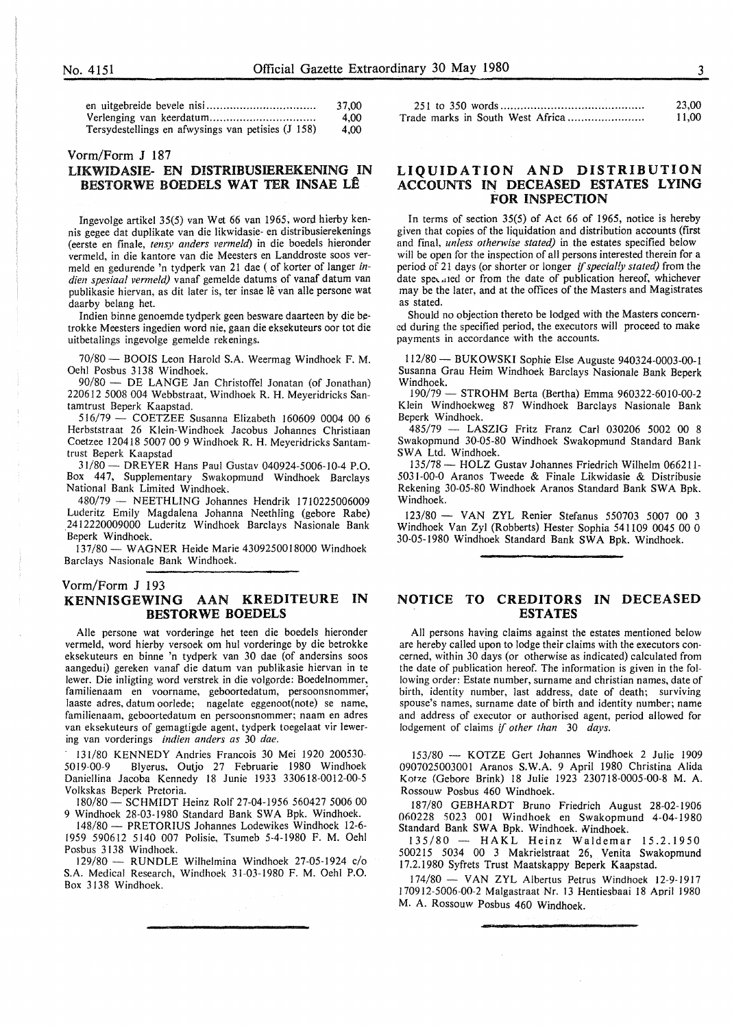| ٦ |   |    |        |  |
|---|---|----|--------|--|
|   |   |    |        |  |
|   | × |    |        |  |
|   |   |    |        |  |
|   |   |    | I<br>I |  |
|   |   | ۰, |        |  |

|                                                    | 37,00 |
|----------------------------------------------------|-------|
|                                                    | 4.00  |
| Tersydestellings en afwysings van petisies (J 158) | 4.00  |

#### Vorm/Form **J** 187

# **LIKWIDASIE- EN DISTRIBUSIBREKENING** IN **BESTORWE BOEDELS WAT TER INSAE LE**

Ingevolge artikel 35(5) van Wet 66 van 1965, word hierby kennis gegee dat duplikate van die likwidasie- en distribusierekenings (eerste en finale, *tensy anders vermeld)* in die boedels hieronder vermeld, in die kantore van die Meesters en Landdroste soos vermeld en gedurende 'n tydperk van 21 dae ( of korter of langer in*dien spesiaal vermeld)* vanaf gemelde datums of vanaf datum van publikasie hiervan, as dit later is, ter insae lê van alle persone wat daarby belang het.

Indien binne genoemde tydperk geen besware daarteen by die betrokke Meesters ingedien word nie, gaan die eksekuteurs oor tot die uitbetalings ingevolge gemelde rekenings.

70/80 - BOOIS Leon Harold S.A. Weermag Windhoek F. M. Oehl Posbus 3138 Windhoek.

90/80 - DE LANGE Jan Christoffel Jonatan (of Jonathan) 220612 5008 004 Webbstraat, Windhoek R. H. Meyeridricks Santamtrust Beperk Kaapstad.

*5* I 6/79 - COETZEE Susanna Elizabeth I 60609 0004 00 6 Herbststraat 26 Klein-Windhoek Jacobus Johannes Christiaan Coetzee 120418 5007 00 9 Windhoek R. H. Meyeridricks Santamtrust Beperk Kaapstad

31/80 - DREYER Hans Paul Gustav 040924-5006-10-4 P.O. Box 447, Supplementary Swakopmund Windhoek Barclays National Bank Limited Windhoek.

480/79 - NEETHLING Johannes Hendrik 1710225006009 Luderitz Emily Magdalena Johanna Neethling (gebore Rabe) \_2412220009000 Luderitz Windhoek Barclays Nasionale Bank Beperk Windhoek.

137/80 - WAGNER Heide Marie 4309250018000 Windhoek Barclays Nasionale Bank Windhoek.

### Vorm/Form **J** 193 **KENNISGEWING AAN KREDITEURE IN BESTORWE BOEDELS**

Alie persone wat vorderinge het teen die boedels hieronder vermeld, word hierby versoek om hul vorderinge by die betrokke eksekuteurs en binne 'n tydperk van 30 dae (of andersins soos aangedui) gereken vanaf die datum van publikasie hiervan in te lewer. Die inligting word verstrek in die volgorde: Boedelnommer, familienaam en voorname, geboortedatum, persoonsnommer; laaste adres, datum oorlede; nagelate eggenoot(note) se name, familienaam, geboortedatum en persoonsnommer; naam en adres van eksekuteurs of gemagtigde agent, tydperk toegelaat vir lewering van vorderings *indien anders as* 30 *dae.* 

· 131/80 KENNEDY Andries Francois 30 Mei 1920 200530- 5019-00-9 Blyerus, Outjo 27 Februarie 1980 Windhoek Daniellina Jacoba Kennedy 18 Junie 1933 330618-0012-00-5 Volkskas Beperk Pretoria.

180/80- SCHMIDT Heinz Rolf 27-04-1956 560427 5006 00 9 Windhoek 28-03-1980 Standard Bank SWA Bpk. Windhoek.

148/80 - PRETORIUS Johannes Lodewikes Windhoek 12-6- 1959 590612 5140 007 Polisie, Tsumeb 5-4-1980 F. **M.** Oehl Posbus 3138 Windhoek.

 $129/80$  - RUNDLE Wilhelmina Windhoek 27-05-1924 c/o S.A. Medical Research, Windhoek 31-03-1980 F. M. Oehl P.O. Box 3138 Windhoek.

|                                  | 23,00 |
|----------------------------------|-------|
| Trade marks in South West Africa | 11,00 |

# **LIQUIDATION AND DISTRIBUTION ACCOUNTS IN DECEASED ESTATES LYING FOR INSPECTION**

In terms of section 35(5) of Act 66 of 1965, notice is hereby given that copies of the liquidation and distribution accounts (first and final, *unless otherwise stated)* in the estates specified below will be open for the inspection of all persons interested therein for a period of 21 days (or shorter or longer if *special!y stated)* from the date specated or from the date of publication hereof, whichever may be the later, and at the offices of the Masters and Magistrates as stated.

Should no objection thereto be lodged with the Masters concerned during the specified period, the executors will proceed to make payments in accordance with the accounts.

I 12/80- BUKOWSKI Sophie Else Auguste 940324-0003-00-l Susanna Grau Heim Windhoek Barclays Nasionale Bank Beperk Windhoek.

190/79 - STROHM Berta (Bertha) Emma 960322-6010-00-2 Klein Windhoekweg 87 Windhoek Barclays Nasionale Bank Beperk Windhoek.

485/79 - LASZIG Fritz Franz Carl 030206 5002 00 8 Swakopmund 30-05-80 Windhoek Swakopmund Standard Bank SWA Ltd. Windhoek.

135/78 - HOLZ Gustav Johannes Friedrich Wilhelm 066211-5031-00-0 Aranos Tweede & Finale Likwidasie & Distribusie Rekening 30-05-80 Windhoek Aranos Standard Bank SWA Bpk. Windhoek.

123/80 - VAN ZYL Renier Stefanus 550703 5007 00 3 Windhoek Van Zyl (Robberts) Hester Sophia 541109 0045 00 0 30-05- I 980 Windhoek Standard Bank **SW A** Bpk. Windhoek.

## **NOTICE TO CREDITORS IN DECEASED ESTATES**

All persons having claims against the estates mentioned below are hereby called upon to lodge their claims with the executors concerned, within 30 days (or otherwise as indicated) calculated from the date of publication hereof. The information is given in the following order: Estate number, surname and christian names, date of birth, identity number, last address, date of death; surviving spouse's names, surname date of birth and identity number; name and address of executor or authorised agent, period allowed for lodgement of claims if *other than* 30 *days.* 

153/80 - KOTZE Gert Johannes Windhoek 2 Julie 1909 0907025003001 Aranos **S.W.A.** 9 April 1980 Christina Alida Kotze (Gebore Brink) 18 Julie 1923 230718-0005-00-8 M. A. Rossouw Posbus 460 Windhoek.

187/80 GEBHARDT Bruno Friedrich August 28-02-1906 060228 5023 001 Windhoek en Swakopmund 4-04-1980 Standard Bank SWA Bpk. Windhoek. Windhoek.

135/80 - HAKL Heinz Waldemar 15.2.1950 500215 5034 00 3 Makrielstraat 26, Venita Swakopmund 17.2.1980 Syfrets Trust Maatskappy Beperk Kaapstad.

174/80 - VAN ZYL Albertus Petrus Windhoek 12-9-1917 1709 12-5006-00-2 Malgastraat Nr. 13 Hentiesbaai 18 April 1980 M. A. Rossouw Posbus 460 Windhoek.